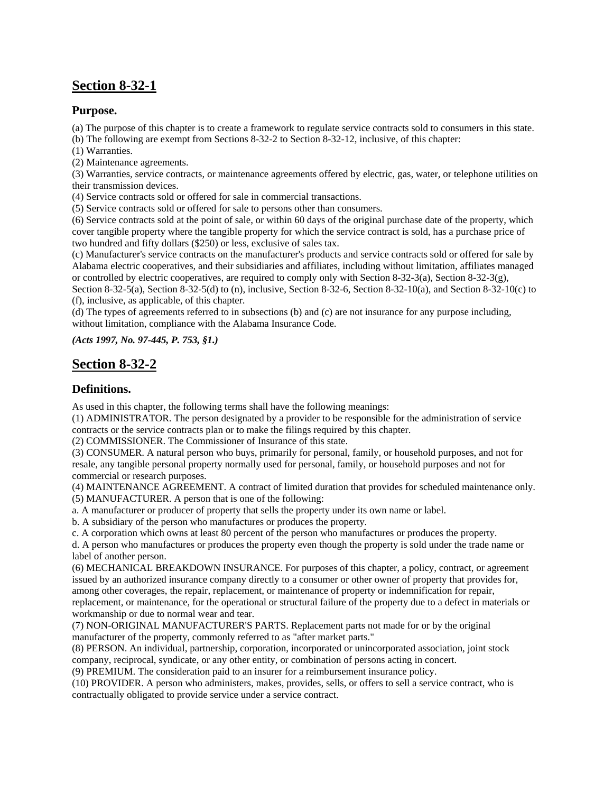# **Section 8-32-1**

### **Purpose.**

(a) The purpose of this chapter is to create a framework to regulate service contracts sold to consumers in this state.

(b) The following are exempt from Sections 8-32-2 to Section 8-32-12, inclusive, of this chapter:

(1) Warranties.

(2) Maintenance agreements.

(3) Warranties, service contracts, or maintenance agreements offered by electric, gas, water, or telephone utilities on their transmission devices.

(4) Service contracts sold or offered for sale in commercial transactions.

(5) Service contracts sold or offered for sale to persons other than consumers.

(6) Service contracts sold at the point of sale, or within 60 days of the original purchase date of the property, which cover tangible property where the tangible property for which the service contract is sold, has a purchase price of two hundred and fifty dollars (\$250) or less, exclusive of sales tax.

(c) Manufacturer's service contracts on the manufacturer's products and service contracts sold or offered for sale by Alabama electric cooperatives, and their subsidiaries and affiliates, including without limitation, affiliates managed or controlled by electric cooperatives, are required to comply only with Section 8-32-3(a), Section 8-32-3(g), Section 8-32-5(a), Section 8-32-5(d) to (n), inclusive, Section 8-32-6, Section 8-32-10(a), and Section 8-32-10(c) to

(f), inclusive, as applicable, of this chapter.

(d) The types of agreements referred to in subsections (b) and (c) are not insurance for any purpose including, without limitation, compliance with the Alabama Insurance Code.

*(Acts 1997, No. 97-445, P. 753, §1.)*

## **Section 8-32-2**

### **Definitions.**

As used in this chapter, the following terms shall have the following meanings:

(1) ADMINISTRATOR. The person designated by a provider to be responsible for the administration of service contracts or the service contracts plan or to make the filings required by this chapter.

(2) COMMISSIONER. The Commissioner of Insurance of this state.

(3) CONSUMER. A natural person who buys, primarily for personal, family, or household purposes, and not for resale, any tangible personal property normally used for personal, family, or household purposes and not for commercial or research purposes.

(4) MAINTENANCE AGREEMENT. A contract of limited duration that provides for scheduled maintenance only. (5) MANUFACTURER. A person that is one of the following:

a. A manufacturer or producer of property that sells the property under its own name or label.

b. A subsidiary of the person who manufactures or produces the property.

c. A corporation which owns at least 80 percent of the person who manufactures or produces the property.

d. A person who manufactures or produces the property even though the property is sold under the trade name or label of another person.

(6) MECHANICAL BREAKDOWN INSURANCE. For purposes of this chapter, a policy, contract, or agreement issued by an authorized insurance company directly to a consumer or other owner of property that provides for, among other coverages, the repair, replacement, or maintenance of property or indemnification for repair, replacement, or maintenance, for the operational or structural failure of the property due to a defect in materials or workmanship or due to normal wear and tear.

(7) NON-ORIGINAL MANUFACTURER'S PARTS. Replacement parts not made for or by the original manufacturer of the property, commonly referred to as "after market parts."

(8) PERSON. An individual, partnership, corporation, incorporated or unincorporated association, joint stock company, reciprocal, syndicate, or any other entity, or combination of persons acting in concert.

(9) PREMIUM. The consideration paid to an insurer for a reimbursement insurance policy.

(10) PROVIDER. A person who administers, makes, provides, sells, or offers to sell a service contract, who is contractually obligated to provide service under a service contract.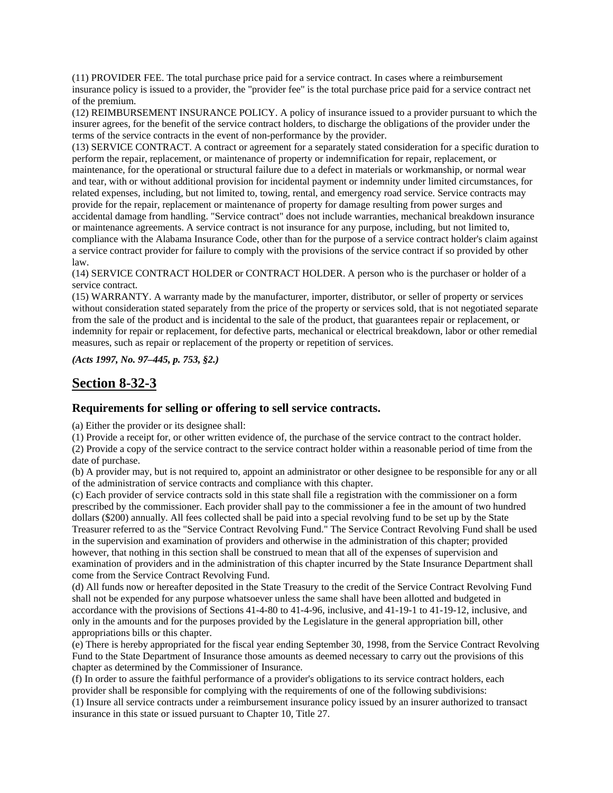(11) PROVIDER FEE. The total purchase price paid for a service contract. In cases where a reimbursement insurance policy is issued to a provider, the "provider fee" is the total purchase price paid for a service contract net of the premium.

(12) REIMBURSEMENT INSURANCE POLICY. A policy of insurance issued to a provider pursuant to which the insurer agrees, for the benefit of the service contract holders, to discharge the obligations of the provider under the terms of the service contracts in the event of non-performance by the provider.

(13) SERVICE CONTRACT. A contract or agreement for a separately stated consideration for a specific duration to perform the repair, replacement, or maintenance of property or indemnification for repair, replacement, or maintenance, for the operational or structural failure due to a defect in materials or workmanship, or normal wear and tear, with or without additional provision for incidental payment or indemnity under limited circumstances, for related expenses, including, but not limited to, towing, rental, and emergency road service. Service contracts may provide for the repair, replacement or maintenance of property for damage resulting from power surges and accidental damage from handling. "Service contract" does not include warranties, mechanical breakdown insurance or maintenance agreements. A service contract is not insurance for any purpose, including, but not limited to, compliance with the Alabama Insurance Code, other than for the purpose of a service contract holder's claim against a service contract provider for failure to comply with the provisions of the service contract if so provided by other law.

(14) SERVICE CONTRACT HOLDER or CONTRACT HOLDER. A person who is the purchaser or holder of a service contract.

(15) WARRANTY. A warranty made by the manufacturer, importer, distributor, or seller of property or services without consideration stated separately from the price of the property or services sold, that is not negotiated separate from the sale of the product and is incidental to the sale of the product, that guarantees repair or replacement, or indemnity for repair or replacement, for defective parts, mechanical or electrical breakdown, labor or other remedial measures, such as repair or replacement of the property or repetition of services.

*(Acts 1997, No. 97–445, p. 753, §2.)*

## **Section 8-32-3**

#### **Requirements for selling or offering to sell service contracts.**

(a) Either the provider or its designee shall:

(1) Provide a receipt for, or other written evidence of, the purchase of the service contract to the contract holder. (2) Provide a copy of the service contract to the service contract holder within a reasonable period of time from the date of purchase.

(b) A provider may, but is not required to, appoint an administrator or other designee to be responsible for any or all of the administration of service contracts and compliance with this chapter.

(c) Each provider of service contracts sold in this state shall file a registration with the commissioner on a form prescribed by the commissioner. Each provider shall pay to the commissioner a fee in the amount of two hundred dollars (\$200) annually. All fees collected shall be paid into a special revolving fund to be set up by the State Treasurer referred to as the "Service Contract Revolving Fund." The Service Contract Revolving Fund shall be used in the supervision and examination of providers and otherwise in the administration of this chapter; provided however, that nothing in this section shall be construed to mean that all of the expenses of supervision and examination of providers and in the administration of this chapter incurred by the State Insurance Department shall come from the Service Contract Revolving Fund.

(d) All funds now or hereafter deposited in the State Treasury to the credit of the Service Contract Revolving Fund shall not be expended for any purpose whatsoever unless the same shall have been allotted and budgeted in accordance with the provisions of Sections 41-4-80 to 41-4-96, inclusive, and 41-19-1 to 41-19-12, inclusive, and only in the amounts and for the purposes provided by the Legislature in the general appropriation bill, other appropriations bills or this chapter.

(e) There is hereby appropriated for the fiscal year ending September 30, 1998, from the Service Contract Revolving Fund to the State Department of Insurance those amounts as deemed necessary to carry out the provisions of this chapter as determined by the Commissioner of Insurance.

(f) In order to assure the faithful performance of a provider's obligations to its service contract holders, each provider shall be responsible for complying with the requirements of one of the following subdivisions:

(1) Insure all service contracts under a reimbursement insurance policy issued by an insurer authorized to transact insurance in this state or issued pursuant to Chapter 10, Title 27.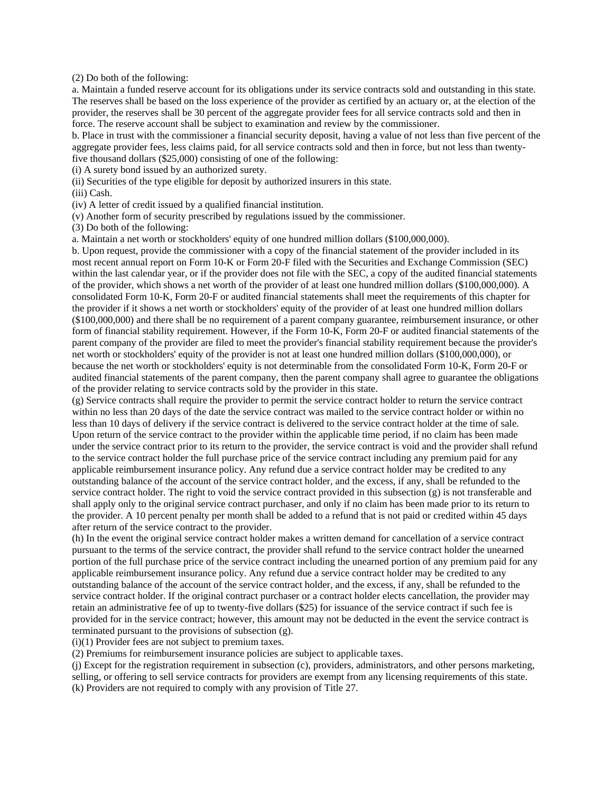(2) Do both of the following:

a. Maintain a funded reserve account for its obligations under its service contracts sold and outstanding in this state. The reserves shall be based on the loss experience of the provider as certified by an actuary or, at the election of the provider, the reserves shall be 30 percent of the aggregate provider fees for all service contracts sold and then in force. The reserve account shall be subject to examination and review by the commissioner.

b. Place in trust with the commissioner a financial security deposit, having a value of not less than five percent of the aggregate provider fees, less claims paid, for all service contracts sold and then in force, but not less than twentyfive thousand dollars (\$25,000) consisting of one of the following:

(i) A surety bond issued by an authorized surety.

(ii) Securities of the type eligible for deposit by authorized insurers in this state.

(iii) Cash.

(iv) A letter of credit issued by a qualified financial institution.

(v) Another form of security prescribed by regulations issued by the commissioner.

(3) Do both of the following:

a. Maintain a net worth or stockholders' equity of one hundred million dollars (\$100,000,000).

b. Upon request, provide the commissioner with a copy of the financial statement of the provider included in its most recent annual report on Form 10-K or Form 20-F filed with the Securities and Exchange Commission (SEC) within the last calendar year, or if the provider does not file with the SEC, a copy of the audited financial statements of the provider, which shows a net worth of the provider of at least one hundred million dollars (\$100,000,000). A consolidated Form 10-K, Form 20-F or audited financial statements shall meet the requirements of this chapter for the provider if it shows a net worth or stockholders' equity of the provider of at least one hundred million dollars (\$100,000,000) and there shall be no requirement of a parent company guarantee, reimbursement insurance, or other form of financial stability requirement. However, if the Form 10-K, Form 20-F or audited financial statements of the parent company of the provider are filed to meet the provider's financial stability requirement because the provider's net worth or stockholders' equity of the provider is not at least one hundred million dollars (\$100,000,000), or because the net worth or stockholders' equity is not determinable from the consolidated Form 10-K, Form 20-F or audited financial statements of the parent company, then the parent company shall agree to guarantee the obligations of the provider relating to service contracts sold by the provider in this state.

(g) Service contracts shall require the provider to permit the service contract holder to return the service contract within no less than 20 days of the date the service contract was mailed to the service contract holder or within no less than 10 days of delivery if the service contract is delivered to the service contract holder at the time of sale. Upon return of the service contract to the provider within the applicable time period, if no claim has been made under the service contract prior to its return to the provider, the service contract is void and the provider shall refund to the service contract holder the full purchase price of the service contract including any premium paid for any applicable reimbursement insurance policy. Any refund due a service contract holder may be credited to any outstanding balance of the account of the service contract holder, and the excess, if any, shall be refunded to the service contract holder. The right to void the service contract provided in this subsection (g) is not transferable and shall apply only to the original service contract purchaser, and only if no claim has been made prior to its return to the provider. A 10 percent penalty per month shall be added to a refund that is not paid or credited within 45 days after return of the service contract to the provider.

(h) In the event the original service contract holder makes a written demand for cancellation of a service contract pursuant to the terms of the service contract, the provider shall refund to the service contract holder the unearned portion of the full purchase price of the service contract including the unearned portion of any premium paid for any applicable reimbursement insurance policy. Any refund due a service contract holder may be credited to any outstanding balance of the account of the service contract holder, and the excess, if any, shall be refunded to the service contract holder. If the original contract purchaser or a contract holder elects cancellation, the provider may retain an administrative fee of up to twenty-five dollars (\$25) for issuance of the service contract if such fee is provided for in the service contract; however, this amount may not be deducted in the event the service contract is terminated pursuant to the provisions of subsection (g).

(i)(1) Provider fees are not subject to premium taxes.

(2) Premiums for reimbursement insurance policies are subject to applicable taxes.

(j) Except for the registration requirement in subsection (c), providers, administrators, and other persons marketing, selling, or offering to sell service contracts for providers are exempt from any licensing requirements of this state. (k) Providers are not required to comply with any provision of Title 27.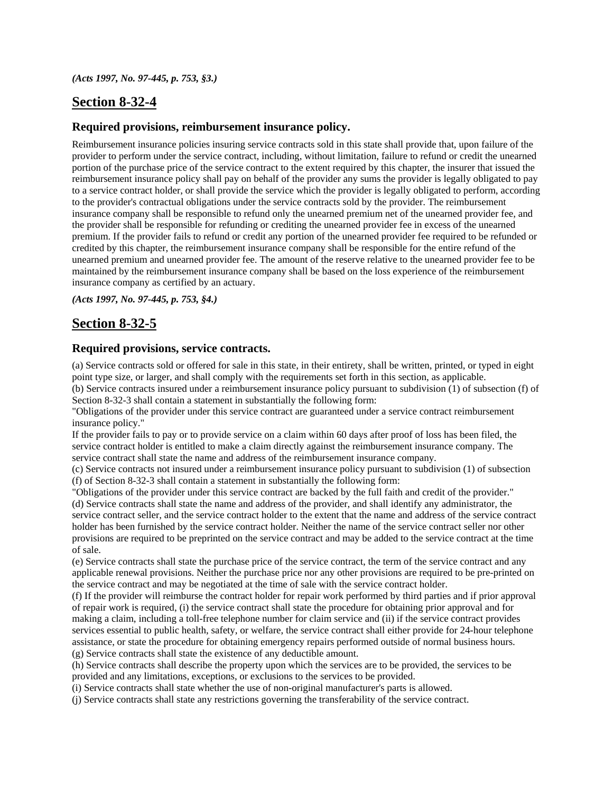## **Section 8-32-4**

#### **Required provisions, reimbursement insurance policy.**

Reimbursement insurance policies insuring service contracts sold in this state shall provide that, upon failure of the provider to perform under the service contract, including, without limitation, failure to refund or credit the unearned portion of the purchase price of the service contract to the extent required by this chapter, the insurer that issued the reimbursement insurance policy shall pay on behalf of the provider any sums the provider is legally obligated to pay to a service contract holder, or shall provide the service which the provider is legally obligated to perform, according to the provider's contractual obligations under the service contracts sold by the provider. The reimbursement insurance company shall be responsible to refund only the unearned premium net of the unearned provider fee, and the provider shall be responsible for refunding or crediting the unearned provider fee in excess of the unearned premium. If the provider fails to refund or credit any portion of the unearned provider fee required to be refunded or credited by this chapter, the reimbursement insurance company shall be responsible for the entire refund of the unearned premium and unearned provider fee. The amount of the reserve relative to the unearned provider fee to be maintained by the reimbursement insurance company shall be based on the loss experience of the reimbursement insurance company as certified by an actuary.

*(Acts 1997, No. 97-445, p. 753, §4.)*

## **Section 8-32-5**

#### **Required provisions, service contracts.**

(a) Service contracts sold or offered for sale in this state, in their entirety, shall be written, printed, or typed in eight point type size, or larger, and shall comply with the requirements set forth in this section, as applicable.

(b) Service contracts insured under a reimbursement insurance policy pursuant to subdivision (1) of subsection (f) of Section 8-32-3 shall contain a statement in substantially the following form:

"Obligations of the provider under this service contract are guaranteed under a service contract reimbursement insurance policy."

If the provider fails to pay or to provide service on a claim within 60 days after proof of loss has been filed, the service contract holder is entitled to make a claim directly against the reimbursement insurance company. The service contract shall state the name and address of the reimbursement insurance company.

(c) Service contracts not insured under a reimbursement insurance policy pursuant to subdivision (1) of subsection (f) of Section 8-32-3 shall contain a statement in substantially the following form:

"Obligations of the provider under this service contract are backed by the full faith and credit of the provider." (d) Service contracts shall state the name and address of the provider, and shall identify any administrator, the service contract seller, and the service contract holder to the extent that the name and address of the service contract holder has been furnished by the service contract holder. Neither the name of the service contract seller nor other provisions are required to be preprinted on the service contract and may be added to the service contract at the time of sale.

(e) Service contracts shall state the purchase price of the service contract, the term of the service contract and any applicable renewal provisions. Neither the purchase price nor any other provisions are required to be pre-printed on the service contract and may be negotiated at the time of sale with the service contract holder.

(f) If the provider will reimburse the contract holder for repair work performed by third parties and if prior approval of repair work is required, (i) the service contract shall state the procedure for obtaining prior approval and for making a claim, including a toll-free telephone number for claim service and (ii) if the service contract provides services essential to public health, safety, or welfare, the service contract shall either provide for 24-hour telephone assistance, or state the procedure for obtaining emergency repairs performed outside of normal business hours. (g) Service contracts shall state the existence of any deductible amount.

(h) Service contracts shall describe the property upon which the services are to be provided, the services to be provided and any limitations, exceptions, or exclusions to the services to be provided.

(i) Service contracts shall state whether the use of non-original manufacturer's parts is allowed.

(j) Service contracts shall state any restrictions governing the transferability of the service contract.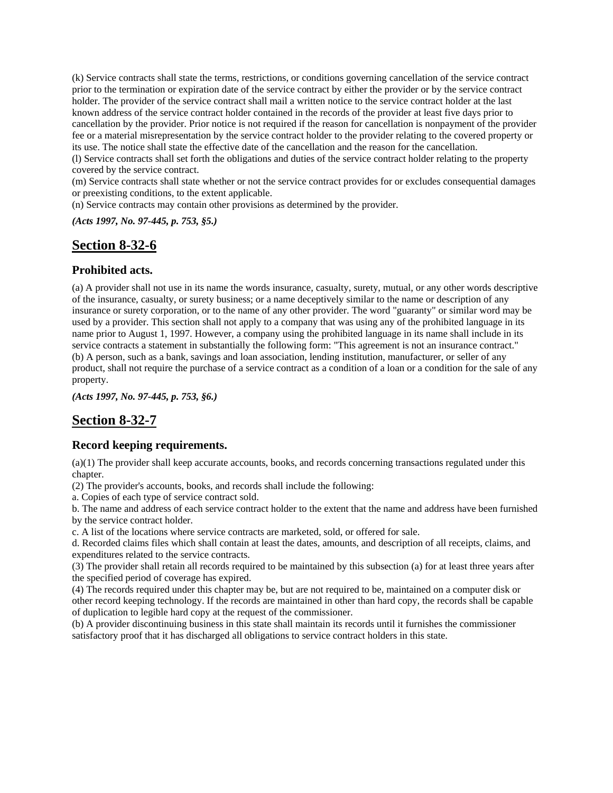(k) Service contracts shall state the terms, restrictions, or conditions governing cancellation of the service contract prior to the termination or expiration date of the service contract by either the provider or by the service contract holder. The provider of the service contract shall mail a written notice to the service contract holder at the last known address of the service contract holder contained in the records of the provider at least five days prior to cancellation by the provider. Prior notice is not required if the reason for cancellation is nonpayment of the provider fee or a material misrepresentation by the service contract holder to the provider relating to the covered property or its use. The notice shall state the effective date of the cancellation and the reason for the cancellation.

(l) Service contracts shall set forth the obligations and duties of the service contract holder relating to the property covered by the service contract.

(m) Service contracts shall state whether or not the service contract provides for or excludes consequential damages or preexisting conditions, to the extent applicable.

(n) Service contracts may contain other provisions as determined by the provider.

*(Acts 1997, No. 97-445, p. 753, §5.)*

### **Section 8-32-6**

#### **Prohibited acts.**

(a) A provider shall not use in its name the words insurance, casualty, surety, mutual, or any other words descriptive of the insurance, casualty, or surety business; or a name deceptively similar to the name or description of any insurance or surety corporation, or to the name of any other provider. The word "guaranty" or similar word may be used by a provider. This section shall not apply to a company that was using any of the prohibited language in its name prior to August 1, 1997. However, a company using the prohibited language in its name shall include in its service contracts a statement in substantially the following form: "This agreement is not an insurance contract." (b) A person, such as a bank, savings and loan association, lending institution, manufacturer, or seller of any product, shall not require the purchase of a service contract as a condition of a loan or a condition for the sale of any property.

*(Acts 1997, No. 97-445, p. 753, §6.)*

### **Section 8-32-7**

#### **Record keeping requirements.**

(a)(1) The provider shall keep accurate accounts, books, and records concerning transactions regulated under this chapter.

(2) The provider's accounts, books, and records shall include the following:

a. Copies of each type of service contract sold.

b. The name and address of each service contract holder to the extent that the name and address have been furnished by the service contract holder.

c. A list of the locations where service contracts are marketed, sold, or offered for sale.

d. Recorded claims files which shall contain at least the dates, amounts, and description of all receipts, claims, and expenditures related to the service contracts.

(3) The provider shall retain all records required to be maintained by this subsection (a) for at least three years after the specified period of coverage has expired.

(4) The records required under this chapter may be, but are not required to be, maintained on a computer disk or other record keeping technology. If the records are maintained in other than hard copy, the records shall be capable of duplication to legible hard copy at the request of the commissioner.

(b) A provider discontinuing business in this state shall maintain its records until it furnishes the commissioner satisfactory proof that it has discharged all obligations to service contract holders in this state.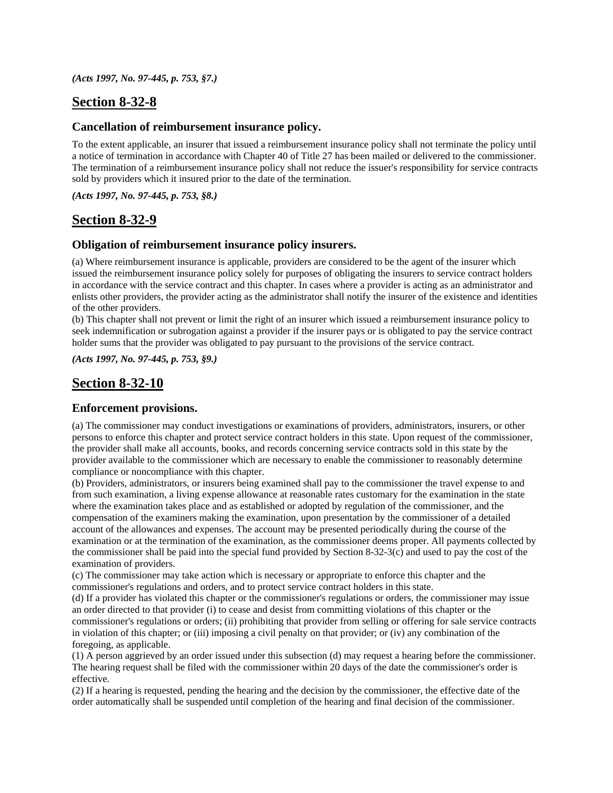*(Acts 1997, No. 97-445, p. 753, §7.)*

## **Section 8-32-8**

#### **Cancellation of reimbursement insurance policy.**

To the extent applicable, an insurer that issued a reimbursement insurance policy shall not terminate the policy until a notice of termination in accordance with Chapter 40 of Title 27 has been mailed or delivered to the commissioner. The termination of a reimbursement insurance policy shall not reduce the issuer's responsibility for service contracts sold by providers which it insured prior to the date of the termination.

*(Acts 1997, No. 97-445, p. 753, §8.)*

### **Section 8-32-9**

#### **Obligation of reimbursement insurance policy insurers.**

(a) Where reimbursement insurance is applicable, providers are considered to be the agent of the insurer which issued the reimbursement insurance policy solely for purposes of obligating the insurers to service contract holders in accordance with the service contract and this chapter. In cases where a provider is acting as an administrator and enlists other providers, the provider acting as the administrator shall notify the insurer of the existence and identities of the other providers.

(b) This chapter shall not prevent or limit the right of an insurer which issued a reimbursement insurance policy to seek indemnification or subrogation against a provider if the insurer pays or is obligated to pay the service contract holder sums that the provider was obligated to pay pursuant to the provisions of the service contract.

*(Acts 1997, No. 97-445, p. 753, §9.)*

### **Section 8-32-10**

#### **Enforcement provisions.**

(a) The commissioner may conduct investigations or examinations of providers, administrators, insurers, or other persons to enforce this chapter and protect service contract holders in this state. Upon request of the commissioner, the provider shall make all accounts, books, and records concerning service contracts sold in this state by the provider available to the commissioner which are necessary to enable the commissioner to reasonably determine compliance or noncompliance with this chapter.

(b) Providers, administrators, or insurers being examined shall pay to the commissioner the travel expense to and from such examination, a living expense allowance at reasonable rates customary for the examination in the state where the examination takes place and as established or adopted by regulation of the commissioner, and the compensation of the examiners making the examination, upon presentation by the commissioner of a detailed account of the allowances and expenses. The account may be presented periodically during the course of the examination or at the termination of the examination, as the commissioner deems proper. All payments collected by the commissioner shall be paid into the special fund provided by Section 8-32-3(c) and used to pay the cost of the examination of providers.

(c) The commissioner may take action which is necessary or appropriate to enforce this chapter and the commissioner's regulations and orders, and to protect service contract holders in this state.

(d) If a provider has violated this chapter or the commissioner's regulations or orders, the commissioner may issue an order directed to that provider (i) to cease and desist from committing violations of this chapter or the commissioner's regulations or orders; (ii) prohibiting that provider from selling or offering for sale service contracts in violation of this chapter; or (iii) imposing a civil penalty on that provider; or (iv) any combination of the foregoing, as applicable.

(1) A person aggrieved by an order issued under this subsection (d) may request a hearing before the commissioner. The hearing request shall be filed with the commissioner within 20 days of the date the commissioner's order is effective.

(2) If a hearing is requested, pending the hearing and the decision by the commissioner, the effective date of the order automatically shall be suspended until completion of the hearing and final decision of the commissioner.